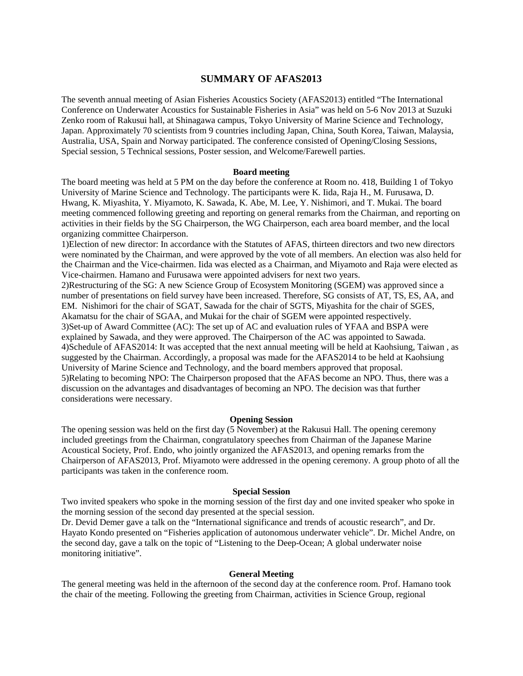# **SUMMARY OF AFAS2013**

The seventh annual meeting of Asian Fisheries Acoustics Society (AFAS2013) entitled "The International Conference on Underwater Acoustics for Sustainable Fisheries in Asia" was held on 5-6 Nov 2013 at Suzuki Zenko room of Rakusui hall, at Shinagawa campus, Tokyo University of Marine Science and Technology, Japan. Approximately 70 scientists from 9 countries including Japan, China, South Korea, Taiwan, Malaysia, Australia, USA, Spain and Norway participated. The conference consisted of Opening/Closing Sessions, Special session, 5 Technical sessions, Poster session, and Welcome/Farewell parties.

#### **Board meeting**

The board meeting was held at 5 PM on the day before the conference at Room no. 418, Building 1 of Tokyo University of Marine Science and Technology. The participants were K. Iida, Raja H., M. Furusawa, D. Hwang, K. Miyashita, Y. Miyamoto, K. Sawada, K. Abe, M. Lee, Y. Nishimori, and T. Mukai. The board meeting commenced following greeting and reporting on general remarks from the Chairman, and reporting on activities in their fields by the SG Chairperson, the WG Chairperson, each area board member, and the local organizing committee Chairperson.

1)Election of new director: In accordance with the Statutes of AFAS, thirteen directors and two new directors were nominated by the Chairman, and were approved by the vote of all members. An election was also held for the Chairman and the Vice-chairmen. Iida was elected as a Chairman, and Miyamoto and Raja were elected as Vice-chairmen. Hamano and Furusawa were appointed advisers for next two years.

2)Restructuring of the SG: A new Science Group of Ecosystem Monitoring (SGEM) was approved since a number of presentations on field survey have been increased. Therefore, SG consists of AT, TS, ES, AA, and EM. Nishimori for the chair of SGAT, Sawada for the chair of SGTS, Miyashita for the chair of SGES, Akamatsu for the chair of SGAA, and Mukai for the chair of SGEM were appointed respectively. 3)Set-up of Award Committee (AC): The set up of AC and evaluation rules of YFAA and BSPA were explained by Sawada, and they were approved. The Chairperson of the AC was appointed to Sawada. 4)Schedule of AFAS2014: It was accepted that the next annual meeting will be held at Kaohsiung, Taiwan , as suggested by the Chairman. Accordingly, a proposal was made for the AFAS2014 to be held at Kaohsiung University of Marine Science and Technology, and the board members approved that proposal. 5)Relating to becoming NPO: The Chairperson proposed that the AFAS become an NPO. Thus, there was a discussion on the advantages and disadvantages of becoming an NPO. The decision was that further considerations were necessary.

## **Opening Session**

The opening session was held on the first day (5 November) at the Rakusui Hall. The opening ceremony included greetings from the Chairman, congratulatory speeches from Chairman of the Japanese Marine Acoustical Society, Prof. Endo, who jointly organized the AFAS2013, and opening remarks from the Chairperson of AFAS2013, Prof. Miyamoto were addressed in the opening ceremony. A group photo of all the participants was taken in the conference room.

### **Special Session**

Two invited speakers who spoke in the morning session of the first day and one invited speaker who spoke in the morning session of the second day presented at the special session.

Dr. Devid Demer gave a talk on the "International significance and trends of acoustic research", and Dr. Hayato Kondo presented on "Fisheries application of autonomous underwater vehicle". Dr. Michel Andre, on the second day, gave a talk on the topic of "Listening to the Deep-Ocean; A global underwater noise monitoring initiative".

### **General Meeting**

The general meeting was held in the afternoon of the second day at the conference room. Prof. Hamano took the chair of the meeting. Following the greeting from Chairman, activities in Science Group, regional